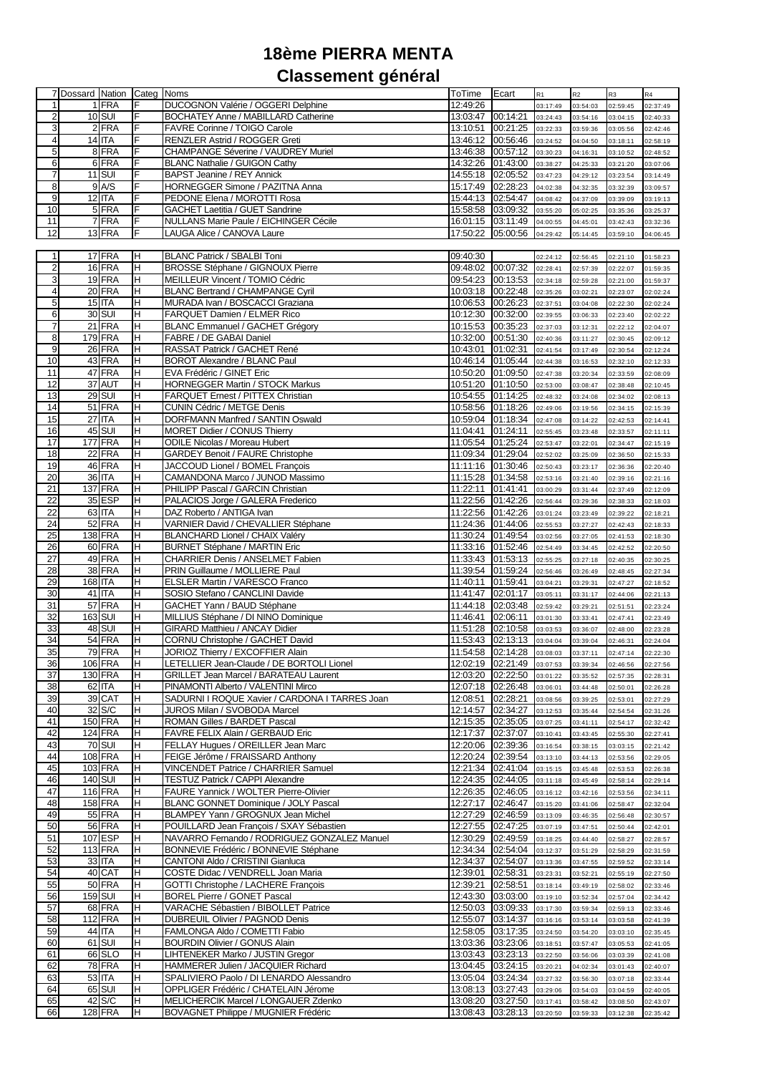## **18ème PIERRA MENTA Classement général**

|                 | 7 Dossard Nation Categ Noms |                |     |                                                | ToTime Ecart      |                            | R1       | R2       | R <sub>3</sub> | R4       |
|-----------------|-----------------------------|----------------|-----|------------------------------------------------|-------------------|----------------------------|----------|----------|----------------|----------|
| 1               |                             | 1 FRA          | F   | DUCOGNON Valérie / OGGERI Delphine             | 12:49:26          |                            | 03:17:49 | 03:54:03 | 02:59:45       | 02:37:49 |
|                 |                             |                |     |                                                |                   |                            |          |          |                |          |
| $\mathbf{2}$    |                             | <b>10 SUI</b>  |     | BOCHATEY Anne / MABILLARD Catherine            | 13:03:47 00:14:21 |                            | 03:24:43 | 03:54:16 | 03:04:15       | 02:40:33 |
| 3               |                             | 2 FRA          | F   | FAVRE Corinne / TOIGO Carole                   |                   | 13:10:51 00:21:25 03:22:33 |          | 03:59:36 | 03:05:56       | 02:42:46 |
| $\overline{4}$  |                             | 14 ITA         | F   | RENZLER Astrid / ROGGER Greti                  |                   | 13:46:12 00:56:46 03:24:52 |          | 04:04:50 | 03:18:11       | 02:58:19 |
| 5               |                             | 8 FRA          | F   | CHAMPANGE Séverine / VAUDREY Muriel            | 13:46:38 00:57:12 |                            | 03:30:23 | 04:16:31 | 03:10:52       | 02:48:52 |
| 6               |                             | 6 FRA          | F   | <b>BLANC Nathalie / GUIGON Cathy</b>           |                   | 14:32:26 01:43:00 03:38:27 |          |          | 03:21:20       |          |
|                 |                             |                |     |                                                |                   |                            |          | 04:25:33 |                | 03:07:06 |
| $\overline{7}$  |                             | <b>11 SUI</b>  | F   | BAPST Jeanine / REY Annick                     | 14:55:18 02:05:52 |                            | 03:47:23 | 04:29:12 | 03:23:54       | 03:14:49 |
| 8               |                             | 9 A/S          | IF  | HORNEGGER Simone / PAZITNA Anna                | 15:17:49 02:28:23 |                            | 04:02:38 | 04:32:35 | 03:32:39       | 03:09:57 |
| 9               |                             | $12$ ITA       | F   | PEDONE Elena / MOROTTI Rosa                    | 15:44:13 02:54:47 |                            | 04:08:42 | 04:37:09 | 03:39:09       | 03:19:13 |
| 10              |                             | 5 FRA          | F   | GACHET Laetitia / GUET Sandrine                | 15:58:58 03:09:32 |                            | 03:55:20 | 05:02:25 | 03:35:36       | 03:25:37 |
|                 |                             | 7 FRA          | F   | NULLANS Marie Paule / EICHINGER Cécile         | 16:01:15 03:11:49 |                            |          |          |                |          |
| 11              |                             |                |     |                                                |                   |                            | 04:00:55 | 04:45:01 | 03:42:43       | 03:32:36 |
| 12              |                             | 13 FRA         | F   | LAUGA Alice / CANOVA Laure                     | 17:50:22          | 05:00:56                   | 04:29:42 | 05:14:45 | 03:59:10       | 04:06:45 |
|                 |                             |                |     |                                                |                   |                            |          |          |                |          |
| 1               |                             | 17 FRA         | H   | BLANC Patrick / SBALBI Toni                    | 09:40:30          |                            | 02:24:12 | 02:56:45 | 02:21:10       | 01:58:23 |
| $\overline{2}$  |                             | 16 FRA         | H   | BROSSE Stéphane / GIGNOUX Pierre               | 09:48:02 00:07:32 |                            | 02:28:41 | 02:57:39 | 02:22:07       | 01:59:35 |
| 3               |                             | 19 FRA         | H   | MEILLEUR Vincent / TOMIO Cédric                | 09:54:23 00:13:53 |                            | 02:34:18 | 02:59:28 | 02:21:00       | 01:59:37 |
|                 |                             |                |     |                                                |                   |                            |          |          |                |          |
| $\overline{4}$  |                             | $20$ FRA       | H   | <b>BLANC Bertrand / CHAMPANGE Cyril</b>        | 10:03:18 00:22:48 |                            | 02:35:26 | 03:02:21 | 02:23:07       | 02:02:24 |
| 5               |                             | 15 ITA         | H   | MURADA Ivan / BOSCACCI Graziana                | 10:06:53 00:26:23 |                            | 02:37:51 | 03:04:08 | 02:22:30       | 02:02:24 |
| 6               |                             | 30 SUI         | H   | FARQUET Damien / ELMER Rico                    |                   | 10:12:30 00:32:00 02:39:55 |          | 03:06:33 | 02:23:40       | 02:02:22 |
| $\overline{7}$  |                             | 21 FRA         | H   | <b>BLANC Emmanuel / GACHET Grégory</b>         | 10:15:53 00:35:23 |                            | 02:37:03 | 03:12:31 | 02:22:12       | 02:04:07 |
| 8               |                             | 179 FRA        | Έ   | FABRE / DE GABAI Daniel                        | 10:32:00 00:51:30 |                            | 02:40:36 | 03:11:27 | 02:30:45       | 02:09:12 |
|                 |                             |                |     |                                                |                   |                            |          |          |                |          |
| 9               |                             | 26 FRA         | H   | RASSAT Patrick / GACHET René                   | 10:43:01 01:02:31 |                            | 02:41:54 | 03:17:49 | 02:30:54       | 02:12:24 |
| 10              |                             | 43 FRA         | H   | BOROT Alexandre / BLANC Paul                   | 10:46:14 01:05:44 |                            | 02:44:38 | 03:16:53 | 02:32:10       | 02:12:33 |
| 11              |                             | 47 FRA         | H   | EVA Frédéric / GINET Eric                      | 10:50:20 01:09:50 |                            | 02:47:38 | 03:20:34 | 02:33:59       | 02:08:09 |
| 12              |                             | 37 AUT         | H   | <b>HORNEGGER Martin / STOCK Markus</b>         | 10:51:20 01:10:50 |                            | 02:53:00 | 03:08:47 | 02:38:48       | 02:10:45 |
| 13              |                             | 29 SUI         | H   | FARQUET Ernest / PITTEX Christian              | 10:54:55 01:14:25 |                            | 02:48:32 | 03:24:08 | 02:34:02       | 02:08:13 |
|                 |                             |                |     |                                                |                   |                            |          |          |                |          |
| 14              |                             | 51 FRA         | H   | <b>CUNIN Cédric / METGE Denis</b>              | 10:58:56 01:18:26 |                            | 02:49:06 | 03:19:56 | 02:34:15       | 02:15:39 |
| 15              |                             | <b>27 ITA</b>  | H   | DORFMANN Manfred / SANTIN Oswald               |                   | 10:59:04 01:18:34 02:47:08 |          | 03:14:22 | 02:42:53       | 02:14:41 |
| 16              |                             | 45 SUI         | H   | MORET Didier / CONUS Thierry                   | 11:04:41 01:24:11 |                            | 02:55:45 | 03:23:48 | 02:33:57       | 02:11:11 |
| 17              |                             | <b>177 FRA</b> | H   | <b>ODILE Nicolas / Moreau Hubert</b>           | 11:05:54 01:25:24 |                            | 02:53:47 | 03:22:01 | 02:34:47       | 02:15:19 |
| 18              |                             | 22 FRA         | H   | <b>GARDEY Benoit / FAURE Christophe</b>        |                   | 11:09:34 01:29:04 02:52:02 |          |          |                |          |
|                 |                             |                |     |                                                |                   |                            |          | 03:25:09 | 02:36:50       | 02:15:33 |
| 19              |                             | 46 FRA         | H   | JACCOUD Lionel / BOMEL François                | 11:11:16 01:30:46 |                            | 02:50:43 | 03:23:17 | 02:36:36       | 02:20:40 |
| 20              |                             | 36 ITA         | H   | CAMANDONA Marco / JUNOD Massimo                | 11:15:28 01:34:58 |                            | 02:53:16 | 03:21:40 | 02:39:16       | 02:21:16 |
| 21              |                             | <b>137 FRA</b> | H   | PHILIPP Pascal / GARCIN Christian              | 11:22:11 01:41:41 |                            | 03:00:29 | 03:31:44 | 02:37:49       | 02:12:09 |
| 22              |                             | 35 ESP         | H   | PALACIOS Jorge / GALERA Frederico              | 11:22:56 01:42:26 |                            | 02:56:44 | 03:29:36 | 02:38:33       | 02:18:03 |
| $\overline{22}$ |                             | 63 ITA         | H   |                                                |                   |                            |          |          |                |          |
|                 |                             |                |     | DAZ Roberto / ANTIGA Ivan                      | 11:22:56 01:42:26 |                            | 03:01:24 | 03:23:49 | 02:39:22       | 02:18:21 |
| 24              |                             | 52 FRA         | H   | VARNIER David / CHEVALLIER Stéphane            | 11:24:36 01:44:06 |                            | 02:55:53 | 03:27:27 | 02:42:43       | 02:18:33 |
| 25              |                             | <b>138 FRA</b> | H   | BLANCHARD Lionel / CHAIX Valéry                | 11:30:24 01:49:54 |                            | 03:02:56 | 03:27:05 | 02:41:53       | 02:18:30 |
| 26              |                             | 60 FRA         | H   | <b>BURNET Stéphane / MARTIN Eric</b>           | 11:33:16 01:52:46 |                            | 02:54:49 | 03:34:45 | 02:42:52       | 02:20:50 |
| 27              |                             | 49 FRA         | H   | CHARRIER Denis / ANSELMET Fabien               | 11:33:43 01:53:13 |                            | 02:55:25 | 03:27:18 | 02:40:35       | 02:30:25 |
| 28              |                             | 38 FRA         | H   | PRIN Guillaume / MOLLIERE Paul                 | 11:39:54 01:59:24 |                            |          | 03:26:49 |                |          |
|                 |                             |                |     |                                                |                   |                            | 02:56:46 |          | 02:48:45       | 02:27:34 |
| 29              | 168 ITA                     |                | H   | ELSLER Martin / VARESCO Franco                 | 11:40:11 01:59:41 |                            | 03:04:21 | 03:29:31 | 02:47:27       | 02:18:52 |
| 30              |                             | $41$ ITA       | H   | SOSIO Stefano / CANCLINI Davide                | 11:41:47 02:01:17 |                            | 03:05:11 | 03:31:17 | 02:44:06       | 02:21:13 |
| 31              |                             | 57 FRA         | H   | GACHET Yann / BAUD Stéphane                    | 11:44:18 02:03:48 |                            | 02:59:42 | 03:29:21 | 02:51:51       | 02:23:24 |
| 32              |                             | <b>163 SUI</b> | H   | MILLIUS Stéphane / DI NINO Dominique           | 11:46:41 02:06:11 |                            | 03:01:30 | 03:33:41 | 02:47:41       | 02:23:49 |
| 33              |                             | 48 SUI         | H   | GIRARD Matthieu / ANCAY Didier                 | 11:51:28 02:10:58 |                            | 03:03:53 | 03:36:07 | 02:48:00       | 02:23:28 |
|                 |                             |                |     |                                                |                   |                            |          |          |                |          |
| 34              |                             | 54 FRA         | H   | CORNU Christophe / GACHET David                |                   | 11:53:43 02:13:13 03:04:04 |          | 03:39:04 | 02:46:31       | 02:24:04 |
| 35              |                             | 79 FRA         | H   | JORIOZ Thierry / EXCOFFIER Alain               |                   | 11:54:58 02:14:28 03:08:03 |          | 03:37:11 | 02:47:14       | 02:22:30 |
| 36              |                             | 106 FRA        | IH. | LETELLIER Jean-Claude / DE BORTOLI Lionel      |                   | 12:02:19 02:21:49 03:07:53 |          | 03:39:34 | 02:46:56       | 02:27:56 |
| 37              |                             | 130 FRA        | H   | GRILLET Jean Marcel / BARATEAU Laurent         | 12:03:20 02:22:50 |                            | 03:01:22 | 03:35:52 | 02:57:35       | 02:28:31 |
| 38              |                             | 62 ITA         | H   | PINAMONTI Alberto / VALENTINI Mirco            | 12:07:18 02:26:48 |                            | 03:06:01 | 03:44:48 | 02:50:01       | 02:26:28 |
|                 |                             |                |     | SADURNI I ROQUE Xavier / CARDONA I TARRES Joan | 12:08:51 02:28:21 |                            |          |          |                |          |
| 39              |                             | 39 CAT         | H   |                                                |                   |                            | 03:08:56 | 03:39:25 | 02:53:01       | 02:27:29 |
| 40              |                             | 32 S/C         | H   | JUROS Milan / SVOBODA Marcel                   | 12:14:57 02:34:27 |                            | 03:12:53 | 03:35:44 | 02:54:54       | 02:31:26 |
| 41              |                             | <b>150 FRA</b> | H   | ROMAN Gilles / BARDET Pascal                   | 12:15:35 02:35:05 |                            | 03:07:25 | 03:41:11 | 02:54:17       | 02:32:42 |
| 42              |                             | <b>124 FRA</b> | H   | FAVRE FELIX Alain / GERBAUD Eric               | 12:17:37 02:37:07 |                            | 03:10:41 | 03:43:45 | 02:55:30       | 02:27:41 |
| 43              |                             | <b>70 SUI</b>  | H   | FELLAY Hugues / OREILLER Jean Marc             | 12:20:06 02:39:36 |                            | 03:16:54 | 03:38:15 | 03:03:15       | 02:21:42 |
| 44              |                             | <b>108 FRA</b> | H   | FEIGE Jérôme / FRAISSARD Anthony               | 12:20:24 02:39:54 |                            | 03:13:10 | 03:44:13 | 02:53:56       | 02:29:05 |
| 45              |                             | 103 FRA        | H   | VINCENDET Patrice / CHARRIER Samuel            | 12:21:34 02:41:04 |                            |          |          |                |          |
|                 |                             |                |     |                                                |                   |                            | 03:15:15 | 03:45:48 | 02:53:53       | 02:26:38 |
| 46              |                             | 140 SUI        | H   | TESTUZ Patrick / CAPPI Alexandre               | 12:24:35 02:44:05 |                            | 03:11:18 | 03:45:49 | 02:58:14       | 02:29:14 |
| 47              |                             | <b>116 FRA</b> | H   | FAURE Yannick / WOLTER Pierre-Olivier          | 12:26:35 02:46:05 |                            | 03:16:12 | 03:42:16 | 02:53:56       | 02:34:11 |
| 48              |                             | <b>158 FRA</b> | H   | BLANC GONNET Dominique / JOLY Pascal           | 12:27:17          | 02:46:47                   | 03:15:20 | 03:41:06 | 02:58:47       | 02:32:04 |
| 49              |                             | <b>55 FRA</b>  | H   | BLAMPEY Yann / GROGNUX Jean Michel             | 12:27:29 02:46:59 |                            | 03:13:09 | 03:46:35 | 02:56:48       | 02:30:57 |
| 50              |                             | <b>56 FRA</b>  | H   | POUILLARD Jean François / SXAY Sébastien       |                   |                            |          |          |                |          |
|                 |                             |                |     |                                                | 12:27:55 02:47:25 |                            | 03:07:19 | 03:47:51 | 02:50:44       | 02:42:01 |
| 51              |                             | 107 ESP        | H   | NAVARRO Fernando / RODRIGUEZ GONZALEZ Manuel   | 12:30:29 02:49:59 |                            | 03:18:25 | 03:44:40 | 02:58:27       | 02:28:57 |
| 52              |                             | <b>113 FRA</b> | H   | BONNEVIE Frédéric / BONNEVIE Stéphane          | 12:34:34 02:54:04 |                            | 03:12:37 | 03:51:29 | 02:58:29       | 02:31:59 |
| 53              |                             | 33 ITA         | H   | CANTONI Aldo / CRISTINI Gianluca               | 12:34:37          | 02:54:07                   | 03:13:36 | 03:47:55 | 02:59:52       | 02:33:14 |
| 54              |                             | 40 CAT         | H   | COSTE Didac / VENDRELL Joan Maria              | 12:39:01 02:58:31 |                            | 03:23:31 | 03:52:21 | 02:55:19       | 02:27:50 |
| 55              |                             | 50 FRA         | H   | GOTTI Christophe / LACHERE François            | 12:39:21 02:58:51 |                            |          |          |                |          |
|                 |                             |                |     |                                                |                   |                            | 03:18:14 | 03:49:19 | 02:58:02       | 02:33:46 |
| 56              | 159 SUI                     |                | H   | <b>BOREL Pierre / GONET Pascal</b>             | 12:43:30 03:03:00 |                            | 03:19:10 | 03:52:34 | 02:57:04       | 02:34:42 |
| 57              |                             | 68 FRA         | H   | VARACHE Sébastien / BIBOLLET Patrice           | 12:50:03 03:09:33 |                            | 03:17:30 | 03:59:34 | 02:59:13       | 02:33:46 |
| 58              |                             | <b>112 FRA</b> | H   | DUBREUIL Olivier / PAGNOD Denis                | 12:55:07 03:14:37 |                            | 03:16:16 | 03:53:14 | 03:03:58       | 02:41:39 |
| 59              |                             | 44 ITA         | H   | FAMLONGA Aldo / COMETTI Fabio                  | 12:58:05 03:17:35 |                            | 03:24:50 | 03:54:20 | 03:03:10       | 02:35:45 |
| 60              |                             | 61 SUI         | H   | <b>BOURDIN Olivier / GONUS Alain</b>           | 13:03:36 03:23:06 |                            | 03:18:51 | 03:57:47 | 03:05:53       | 02:41:05 |
|                 |                             |                |     |                                                |                   |                            |          |          |                |          |
| 61              |                             | 66 SLO         | H   | LIHTENEKER Marko / JUSTIN Gregor               | 13:03:43 03:23:13 |                            | 03:22:50 | 03:56:06 | 03:03:39       | 02:41:08 |
| 62              |                             | <b>78 FRA</b>  | H   | HAMMERER Julien / JACQUIER Richard             | 13:04:45 03:24:15 |                            | 03:20:21 | 04:02:34 | 03:01:43       | 02:40:07 |
| 63              |                             | 53 ITA         | H   | SPALIVIERO Paolo / DI LENARDO Alessandro       | 13:05:04 03:24:34 |                            | 03:27:32 | 03:56:30 | 03:07:18       | 02:33:44 |
| 64              |                             | 65 SUI         | H   | OPPLIGER Frédéric / CHATELAIN Jérome           | 13:08:13 03:27:43 |                            | 03:29:06 | 03:54:03 | 03:04:59       | 02:40:05 |
| 65              |                             | 42 S/C         | H   | MELICHERCIK Marcel / LONGAUER Zdenko           | 13:08:20 03:27:50 |                            | 03:17:41 | 03:58:42 | 03:08:50       | 02:43:07 |
|                 |                             |                |     |                                                |                   |                            |          |          |                |          |
| 66              |                             | <b>128 FRA</b> | H   | BOVAGNET Philippe / MUGNIER Frédéric           |                   | 13:08:43 03:28:13 03:20:50 |          | 03:59:33 | 03:12:38       | 02:35:42 |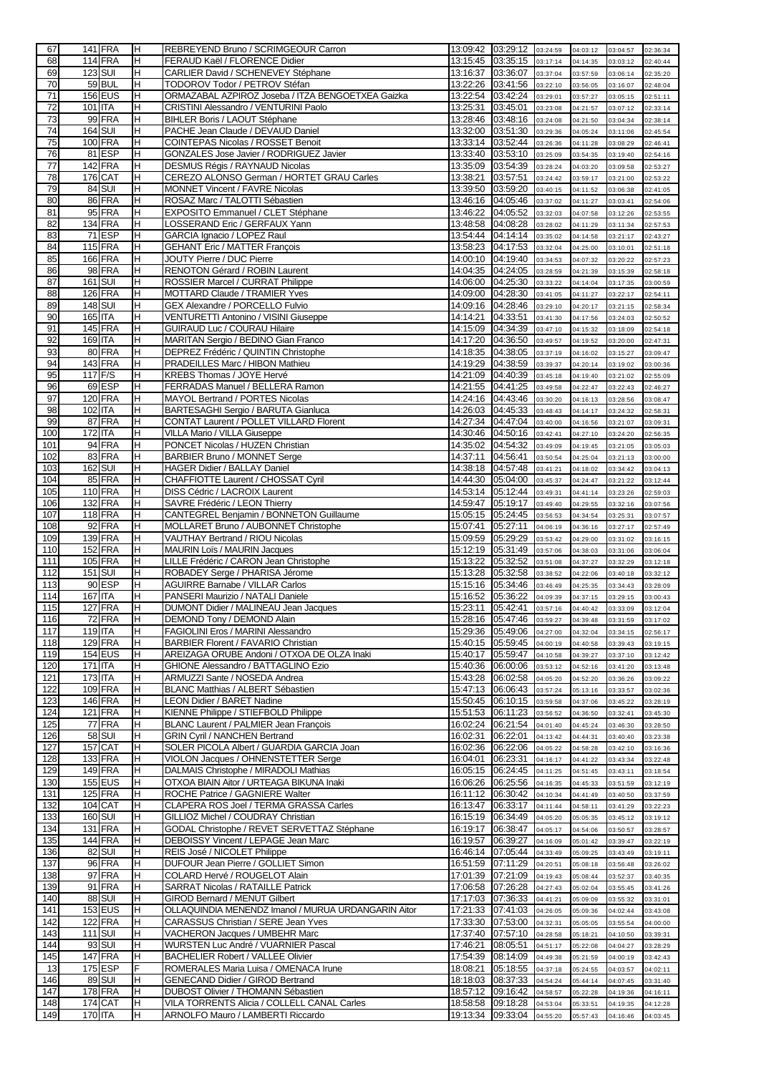| 67         |                    | <b>141 FRA</b>     | IH.      | REBREYEND Bruno / SCRIMGEOUR Carron                                              |                   | 13:09:42 03:29:12 03:24:59             |          | 04:03:12             | 03:04:57             | 02:36:34             |
|------------|--------------------|--------------------|----------|----------------------------------------------------------------------------------|-------------------|----------------------------------------|----------|----------------------|----------------------|----------------------|
| 68         |                    | <b>114 FRA</b>     | H        | FERAUD Kaël / FLORENCE Didier                                                    | 13:15:45 03:35:15 |                                        | 03:17:14 | 04:14:35             | 03:03:12             | 02:40:44             |
| 69         |                    | <b>123 SUI</b>     | H        | CARLIER David / SCHENEVEY Stéphane                                               | 13:16:37 03:36:07 |                                        | 03:37:04 | 03:57:59             | 03:06:14             | 02:35:20             |
| 70         |                    | 59 BUL             | H        | TODOROV Todor / PETROV Stéfan                                                    | 13:22:26 03:41:56 |                                        | 03:22:10 | 03:56:05             | 03:16:07             | 02:48:04             |
| 71         |                    | <b>156 EUS</b>     | H        | ORMAZABAL AZPIROZ Joseba / ITZA BENGOETXEA Gaizka                                | 13:22:54          | 03:42:24                               | 03:29:01 | 03:57:27             | 03:05:15             | 02:51:11             |
| 72         | 101 ITA            |                    | H        | CRISTINI Alessandro / VENTURINI Paolo                                            | 13:25:31          | 03:45:01                               |          |                      |                      |                      |
|            |                    | 99 FRA             |          | BIHLER Boris / LAOUT Stéphane                                                    |                   |                                        | 03:23:08 | 04:21:57             | 03:07:12             | 02:33:14             |
| 73         |                    |                    | H        |                                                                                  | 13:28:46          | 03:48:16                               | 03:24:08 | 04:21:50             | 03:04:34             | 02:38:14             |
| 74         |                    | <b>164 SUI</b>     | H        | PACHE Jean Claude / DEVAUD Daniel                                                | 13:32:00          | 03:51:30                               | 03:29:36 | 04:05:24             | 03:11:06             | 02:45:54             |
| 75         |                    | <b>100 FRA</b>     | H        | COINTEPAS Nicolas / ROSSET Benoit                                                | 13:33:14 03:52:44 |                                        | 03:26:36 | 04:11:28             | 03:08:29             | 02:46:41             |
| 76         |                    | 81 ESP             | H        | GONZALES Jose Javier / RODRIGUEZ Javier                                          | 13:33:40          | 03:53:10                               | 03:25:09 | 03:54:35             | 03:19:40             | 02:54:16             |
| 77         |                    | <b>142 FRA</b>     | H        | DESMUS Régis / RAYNAUD Nicolas                                                   | 13:35:09          | 03:54:39                               | 03:28:24 | 04:03:20             | 03:09:58             | 02:53:27             |
| 78         |                    | 176 CAT            | Η        | CEREZO ALONSO German / HORTET GRAU Carles                                        | 13:38:21          | 03:57:51                               | 03:24:42 | 03:59:17             | 03:21:00             | 02:53:22             |
| 79         |                    | 84 SUI             | Η        | MONNET Vincent / FAVRE Nicolas                                                   | 13:39:50          | 03:59:20                               | 03:40:15 | 04:11:52             | 03:06:38             | 02:41:05             |
| 80         |                    | 86 FRA             | Η        | ROSAZ Marc / TALOTTI Sébastien                                                   | 13:46:16 04:05:46 |                                        | 03:37:02 | 04:11:27             | 03:03:41             | 02:54:06             |
| 81         |                    | 95 FRA             | H        | EXPOSITO Emmanuel / CLET Stéphane                                                | 13:46:22          | 04:05:52                               | 03:32:03 | 04:07:58             | 03:12:26             | 02:53:55             |
| 82         |                    | <b>134 FRA</b>     | H        | LOSSERAND Eric / GERFAUX Yann                                                    | 13:48:58 04:08:28 |                                        | 03:28:02 | 04:11:29             | 03:11:34             | 02:57:53             |
| 83         |                    | 71 ESP             | H        | GARCIA Ignacio / LOPEZ Raul                                                      | 13:54:44 04:14:14 |                                        |          |                      |                      |                      |
| 84         |                    |                    |          |                                                                                  |                   |                                        | 03:35:02 | 04:14:58             | 03:21:17             | 02:43:27             |
|            |                    | 115 FRA            | H        | <b>GEHANT Eric / MATTER François</b>                                             | 13:58:23 04:17:53 |                                        | 03:32:04 | 04:25:00             | 03:10:01             | 02:51:18             |
| 85         |                    | 166 FRA            | H        | JOUTY Pierre / DUC Pierre                                                        |                   | 14:00:10 04:19:40                      | 03:34:53 | 04:07:32             | 03:20:22             | 02:57:23             |
| 86         |                    | 98 FRA             | H        | RENOTON Gérard / ROBIN Laurent                                                   |                   | 14:04:35 04:24:05                      | 03:28:59 | 04:21:39             | 03:15:39             | 02:58:18             |
| 87         |                    | <b>161 SUI</b>     | H        | ROSSIER Marcel / CURRAT Philippe                                                 |                   | 14:06:00 04:25:30                      | 03:33:22 | 04:14:04             | 03:17:35             | 03:00:59             |
| 88         |                    | <b>126 FRA</b>     | H        | MOTTARD Claude / TRAMIER Yves                                                    |                   | 14:09:00 04:28:30                      | 03:41:05 | 04:11:27             | 03:22:17             | 02:54:11             |
| 89         |                    | <b>148 SUI</b>     | H        | GEX Alexandre / PORCELLO Fulvio                                                  |                   | 14:09:16 04:28:46                      | 03:29:10 | 04:20:17             | 03:21:15             | 02:58:34             |
| 90         | 165 ITA            |                    | H        | VENTURETTI Antonino / VISINI Giuseppe                                            | 14:14:21          | 04:33:51                               | 03:41:30 | 04:17:56             | 03:24:03             | 02:50:52             |
| 91         |                    | <b>145 FRA</b>     | H        | GUIRAUD Luc / COURAU Hilaire                                                     | 14:15:09 04:34:39 |                                        | 03:47:10 | 04:15:32             | 03:18:09             | 02:54:18             |
| 92         | 169 ITA            |                    | H        | MARITAN Sergio / BEDINO Gian Franco                                              | 14:17:20          | 04:36:50                               | 03:49:57 | 04:19:52             | 03:20:00             | 02:47:31             |
| 93         |                    | 80 FRA             | H        | DEPREZ Frédéric / QUINTIN Christophe                                             | 14:18:35          | 04:38:05                               | 03:37:19 | 04:16:02             | 03:15:27             | 03:09:47             |
| 94         |                    | <b>143 FRA</b>     | H        | PRADEILLES Marc / HIBON Mathieu                                                  | 14:19:29 04:38:59 |                                        | 03:39:37 | 04:20:14             | 03:19:02             | 03:00:36             |
| 95         |                    | 117 F/S            | H        | KREBS Thomas / JOYE Hervé                                                        | 14:21:09          | 04:40:39                               | 03:45:18 | 04:19:40             | 03:21:02             | 02:55:09             |
|            |                    | 69 ESP             | H        |                                                                                  |                   |                                        |          |                      |                      |                      |
| 96         |                    |                    |          | FERRADAS Manuel / BELLERA Ramon                                                  | 14:21:55 04:41:25 |                                        | 03:49:58 | 04:22:47             | 03:22:43             | 02:46:27             |
| 97         |                    | 120 FRA            | H        | MAYOL Bertrand / PORTES Nicolas                                                  | 14:24:16 04:43:46 |                                        | 03:30:20 | 04:16:13             | 03:28:56             | 03:08:47             |
| 98         | 102 ITA            |                    | H        | BARTESAGHI Sergio / BARUTA Gianluca                                              | 14:26:03 04:45:33 |                                        | 03:48:43 | 04:14:17             | 03:24:32             | 02:58:31             |
| 99         |                    | 87 FRA             | H        | CONTAT Laurent / POLLET VILLARD Florent                                          | 14:27:34 04:47:04 |                                        | 03:40:00 | 04:16:56             | 03:21:07             | 03:09:31             |
| 100        | 172 ITA            |                    | H        | VILLA Mario / VILLA Giuseppe                                                     | 14:30:46 04:50:16 |                                        | 03:42:41 | 04:27:10             | 03:24:20             | 02:56:35             |
| 101        |                    | 94 FRA             | H        | PONCET Nicolas / HUZEN Christian                                                 | 14:35:02          | 04:54:32                               | 03:49:09 | 04:19:45             | 03:21:05             | 03:05:03             |
| 102        |                    | 83 FRA             | H        | <b>BARBIER Bruno / MONNET Serge</b>                                              | 14:37:11          | 04:56:41                               | 03:50:54 | 04:25:04             | 03:21:13             | 03:00:00             |
| 103        |                    | <b>162 SUI</b>     | H        | HAGER Didier / BALLAY Daniel                                                     | 14:38:18 04:57:48 |                                        | 03:41:21 | 04:18:02             | 03:34:42             | 03:04:13             |
| 104        |                    | 85 FRA             | Η        | CHAFFIOTTE Laurent / CHOSSAT Cyril                                               | 14:44:30          | 05:04:00                               | 03:45:37 | 04:24:47             | 03:21:22             | 03:12:44             |
| 105        |                    | 110 FRA            | Η        | DISS Cédric / LACROIX Laurent                                                    |                   | 14:53:14 05:12:44                      | 03:49:31 | 04:41:14             | 03:23:26             | 02:59:03             |
| 106        |                    | <b>132 FRA</b>     | H        | SAVRE Frédéric / LEON Thierry                                                    | 14:59:47          | 05:19:17                               | 03:49:40 | 04:29:55             | 03:32:16             | 03:07:56             |
| 107        |                    | <b>118 FRA</b>     | H        | <b>CANTEGREL Benjamin / BONNETON Guillaume</b>                                   | 15:05:15 05:24:45 |                                        | 03:56:53 |                      |                      |                      |
|            |                    |                    |          |                                                                                  |                   |                                        |          | 04:34:54             | 03:25:31             | 03:07:57             |
| 108        |                    | 92 FRA             | H        | MOLLARET Bruno / AUBONNET Christophe                                             | 15:07:41          | 05:27:11                               | 04:06:19 | 04:36:16             | 03:27:17             | 02:57:49             |
| 109        |                    | <b>139 FRA</b>     | H        | VAUTHAY Bertrand / RIOU Nicolas                                                  | 15:09:59          | 05:29:29                               | 03:53:42 | 04:29:00             | 03:31:02             | 03:16:15             |
| 110        |                    | 152 FRA            | H        | <b>MAURIN Loïs / MAURIN Jacques</b>                                              | 15:12:19 05:31:49 |                                        | 03:57:06 | 04:38:03             | 03:31:06             | 03:06:04             |
| 111        |                    | <b>105 FRA</b>     | H        | LILLE Frédéric / CARON Jean Christophe                                           | 15:13:22          | 05:32:52                               | 03:51:08 | 04:37:27             | 03:32:29             | 03:12:18             |
| 112        |                    | 151 SUI            | H        | ROBADEY Serge / PHARISA Jérome                                                   | 15:13:28          | 05:32:58                               | 03:38:52 | 04:22:06             | 03:40:18             | 03:32:12             |
| 113        |                    | 90 ESP             | H        | <b>AGUIRRE Barnabe / VILLAR Carlos</b>                                           | 15:15:16          | 05:34:46                               | 03:46:49 | 04:25:35             | 03:34:43             | 03:28:09             |
| 114        |                    | <b>167 ITA</b>     | H        | PANSERI Maurizio / NATALI Daniele                                                | 15:16:52          | 05:36:22                               | 04:09:39 | 04:37:15             | 03:29:15             | 03:00:43             |
| 115        |                    | <b>127 FRA</b>     | H        | DUMONT Didier / MALINEAU Jean Jacques                                            | 15:23:11          | 05:42:41                               | 03:57:16 | 04:40:42             | 03:33:09             | 03:12:04             |
| 116        |                    | 72 FRA             | IH.      | DEMOND Tony / DEMOND Alain                                                       |                   | 15:28:16 05:47:46 03:59:27             |          | 04:39:48             | 03:31:59             | 03:17:02             |
| 117        | 119 ITA            |                    | H        | FAGIOLINI Eros / MARINI Alessandro                                               |                   | 15:29:36 05:49:06 04:27:00             |          | 04:32:04             | 03:34:15             | 02:56:17             |
| 118        |                    | <b>129 FRA</b>     | H        | BARBIER Florent / FAVARIO Christian                                              | 15:40:15 05:59:45 |                                        | 04:00:19 | 04:40:58             | 03:39:43             | 03:19:15             |
| 119        |                    | 154 EUS            | H        | AREIZAGA ORUBE Andoni / OTXOA DE OLZA Inaki                                      | 15:40:17 05:59:47 |                                        | 04:10:58 | 04:39:27             | 03:37:10             | 03:12:42             |
|            |                    |                    | H        | GHIONE Alessandro / BATTAGLINO Ezio                                              | 15:40:36 06:00:06 |                                        |          |                      |                      |                      |
| 120        | 171 ITA<br>173 ITA |                    | H        |                                                                                  |                   |                                        | 03:53:12 | 04:52:16             | 03:41:20             | 03:13:48             |
| 121        |                    |                    |          | ARMUZZI Sante / NOSEDA Andrea                                                    | 15:43:28 06:02:58 |                                        | 04:05:20 | 04:52:20             | 03:36:26             | 03:09:22             |
| 122        |                    | 109 FRA            | H        | BLANC Matthias / ALBERT Sébastien                                                | 15:47:13 06:06:43 |                                        | 03:57:24 | 05:13:16             | 03:33:57             | 03:02:36             |
| 123        |                    | <b>146 FRA</b>     | H        | <b>LEON Didier / BARET Nadine</b>                                                | 15:50:45 06:10:15 |                                        | 03:59:58 | 04:37:06             | 03:45:22             | 03:28:19             |
| 124        |                    | 121 FRA            | H        | KIENNE Philippe / STIEFBOLD Philippe                                             | 15:51:53          | 06:11:23                               | 03:56:52 | 04:36:50             | 03:32:41             | 03:45:30             |
| 125        |                    | 77 FRA             | H        | BLANC Laurent / PALMIER Jean François                                            | 16:02:24 06:21:54 |                                        | 04:01:40 | 04:45:24             | 03:46:30             | 03:28:50             |
| 126        |                    | <b>58 SUI</b>      | H        | <b>GRIN Cyril / NANCHEN Bertrand</b>                                             | 16:02:31          | 06:22:01                               | 04:13:42 | 04:44:31             | 03:40:40             | 03:23:38             |
| 127        |                    | <b>157 CAT</b>     | H        | SOLER PICOLA Albert / GUARDIA GARCIA Joan                                        | 16:02:36 06:22:06 |                                        | 04:05:22 | 04:58:28             | 03:42:10             | 03:16:36             |
| 128        |                    | <b>133 FRA</b>     | H        | VIOLON Jacques / OHNENSTETTER Serge                                              | 16:04:01          | 06:23:31                               | 04:16:17 | 04:41:22             | 03:43:34             | 03:22:48             |
| 129        |                    | <b>149 FRA</b>     | H        | DALMAIS Christophe / MIRADOLI Mathias                                            |                   |                                        |          |                      | 03:43:11             | 03:18:54             |
| 130        |                    |                    |          |                                                                                  | 16:05:15 06:24:45 |                                        | 04:11:25 | 04:51:45             |                      |                      |
|            |                    | 155 EUS            | H        | OTXOA BIAIN Aitor / URTEAGA BIKUNA Inaki                                         | 16:06:26 06:25:56 |                                        | 04:16:35 | 04:45:33             | 03:51:59             | 03:12:19             |
| 131        |                    | <b>125 FRA</b>     | H        | ROCHE Patrice / GAGNIERE Walter                                                  | 16:11:12 06:30:42 |                                        | 04:10:34 | 04:41:49             | 03:40:50             | 03:37:59             |
|            |                    |                    |          |                                                                                  |                   |                                        |          |                      |                      |                      |
| 132        |                    | 104 CAT            | H        | CLAPERA ROS Joel / TERMA GRASSA Carles                                           | 16:13:47 06:33:17 |                                        | 04:11:44 | 04:58:11             | 03:41:29             | 03:22:23             |
| 133        |                    | 160 SUI            | H        | GILLIOZ Michel / COUDRAY Christian                                               | 16:15:19 06:34:49 |                                        | 04:05:20 | 05:05:35             | 03:45:12             | 03:19:12             |
| 134        |                    | 131 FRA            | H        | GODAL Christophe / REVET SERVETTAZ Stéphane                                      | 16:19:17          | 06:38:47                               | 04:05:17 | 04:54:06             | 03:50:57             | 03:28:57             |
| 135        |                    | <b>144 FRA</b>     | H        | DEBOISSY Vincent / LEPAGE Jean Marc                                              | 16:19:57          | 06:39:27                               | 04:16:09 | 05:01:42             | 03:39:47             | 03:22:19             |
| 136        |                    | 82 SUI             | H        | REIS José / NICOLET Philippe                                                     | 16:46:14 07:05:44 |                                        | 04:33:49 | 05:09:25             | 03:43:49             | 03:19:11             |
| 137        |                    | 96 FRA             | H        | DUFOUR Jean Pierre / GOLLIET Simon                                               | 16:51:59 07:11:29 |                                        | 04:20:51 | 05:08:18             | 03:56:48             | 03:26:02             |
| 138        |                    | 97 FRA             | H        | COLARD Hervé / ROUGELOT Alain                                                    | 17:01:39 07:21:09 |                                        | 04:19:43 | 05:08:44             | 03:52:37             | 03:40:35             |
| 139        |                    | 91 FRA             | H        | SARRAT Nicolas / RATAILLE Patrick                                                | 17:06:58 07:26:28 |                                        | 04:27:43 | 05:02:04             | 03:55:45             | 03:41:26             |
| 140        |                    | 88 SUI             | H        | GIROD Bernard / MENUT Gilbert                                                    | 17:17:03 07:36:33 |                                        | 04:41:21 | 05:09:09             | 03:55:32             | 03:31:01             |
| 141        |                    | 153 EUS            | H        | OLLAQUINDIA MENENDZ Imanol / MURUA URDANGARIN Aitor                              | 17:21:33 07:41:03 |                                        | 04:26:05 | 05:09:36             | 04:02:44             | 03:43:08             |
| 142        |                    | <b>122 FRA</b>     | H        | CARASSUS Christian / SERE Jean Yves                                              | 17:33:30 07:53:00 |                                        | 04:32:31 | 05:05:05             | 03:55:54             | 04:00:00             |
| 143        |                    | <b>111 SUI</b>     | H        | VACHERON Jacques / UMBEHR Marc                                                   | 17:37:40 07:57:10 |                                        | 04:28:58 | 05:18:21             | 04:10:50             | 03:39:31             |
| 144        |                    | 93 SUI             | H        | WURSTEN Luc André / VUARNIER Pascal                                              | 17:46:21          | 08:05:51                               |          | 05:22:08             | 04:04:27             | 03:28:29             |
|            |                    |                    | H        |                                                                                  |                   |                                        | 04:51:17 |                      |                      |                      |
| 145        |                    | <b>147 FRA</b>     |          | <b>BACHELIER Robert / VALLEE Olivier</b>                                         | 17:54:39          | 08:14:09                               | 04:49:38 | 05:21:59             | 04:00:19             | 03:42:43             |
| 13         |                    | 175 ESP            | F        | ROMERALES Maria Luisa / OMENACA Irune                                            | 18:08:21          | 05:18:55                               | 04:37:18 | 05:24:55             | 04:03:57             | 04:02:11             |
| 146        |                    | 89 SUI             | H        | <b>GENECAND Didier / GIROD Bertrand</b>                                          | 18:18:03 08:37:33 |                                        | 04:54:24 | 05:44:14             | 04:07:45             | 03:31:40             |
| 147        |                    | $178$ FRA          | H        | DUBOST Olivier / THOMANN Sébastien                                               | 18:57:12 09:16:42 |                                        | 04:58:57 | 05:22:28             | 04:19:36             | 04:16:11             |
| 148<br>149 |                    | 174 CAT<br>170 ITA | H<br>Iн. | VILA TORRENTS Alicia / COLLELL CANAL Carles<br>ARNOLFO Mauro / LAMBERTI Riccardo | 18:58:58          | 09:18:28<br>19:13:34 09:33:04 04:55:20 | 04:53:04 | 05:33:51<br>05:57:43 | 04:19:35<br>04:16:46 | 04:12:28<br>04:03:45 |